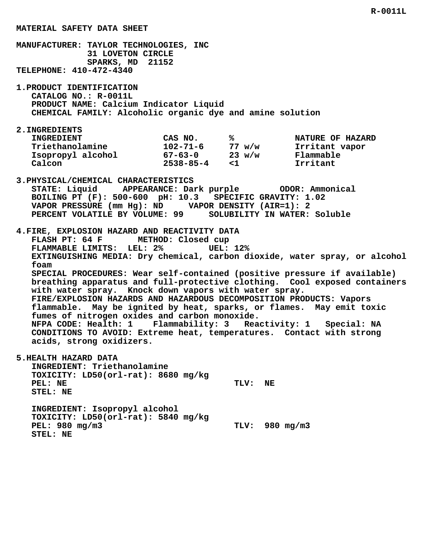**MANUFACTURER: TAYLOR TECHNOLOGIES, INC 31 LOVETON CIRCLE SPARKS, MD 21152 TELEPHONE: 410-472-4340 1.PRODUCT IDENTIFICATION CATALOG NO.: R-0011L PRODUCT NAME: Calcium Indicator Liquid CHEMICAL FAMILY: Alcoholic organic dye and amine solution 2.INGREDIENTS** INGREDIENT CAS NO. 8 8 NATURE OF HAZARD  **Triethanolamine 102-71-6 77 w/w Irritant vapor Isopropyl alcohol 67-63-0 23 w/w Flammable Calcon 2538-85-4 <1 Irritant 3.PHYSICAL/CHEMICAL CHARACTERISTICS STATE: Liquid APPEARANCE: Dark purple ODOR: Ammonical BOILING PT (F): 500-600 pH: 10.3 SPECIFIC GRAVITY: 1.02 VAPOR PRESSURE (mm Hg): ND VAPOR DENSITY (AIR=1): 2 PERCENT VOLATILE BY VOLUME: 99 SOLUBILITY IN WATER: Soluble 4.FIRE, EXPLOSION HAZARD AND REACTIVITY DATA FLASH PT: 64 F METHOD: Closed cup FLAMMABLE LIMITS: LEL: 2% UEL: 12% EXTINGUISHING MEDIA: Dry chemical, carbon dioxide, water spray, or alcohol foam SPECIAL PROCEDURES: Wear self-contained (positive pressure if available) breathing apparatus and full-protective clothing. Cool exposed containers with water spray. Knock down vapors with water spray. FIRE/EXPLOSION HAZARDS AND HAZARDOUS DECOMPOSITION PRODUCTS: Vapors flammable. May be ignited by heat, sparks, or flames. May emit toxic fumes of nitrogen oxides and carbon monoxide. NFPA CODE: Health: 1 Flammability: 3 Reactivity: 1 Special: NA CONDITIONS TO AVOID: Extreme heat, temperatures. Contact with strong acids, strong oxidizers. 5.HEALTH HAZARD DATA INGREDIENT: Triethanolamine TOXICITY: LD50(orl-rat): 8680 mg/kg** PEL: NE TLV: NE  **STEL: NE INGREDIENT: Isopropyl alcohol TOXICITY: LD50(orl-rat): 5840 mg/kg**

 **PEL: 980 mg/m3 TLV: 980 mg/m3 STEL: NE**